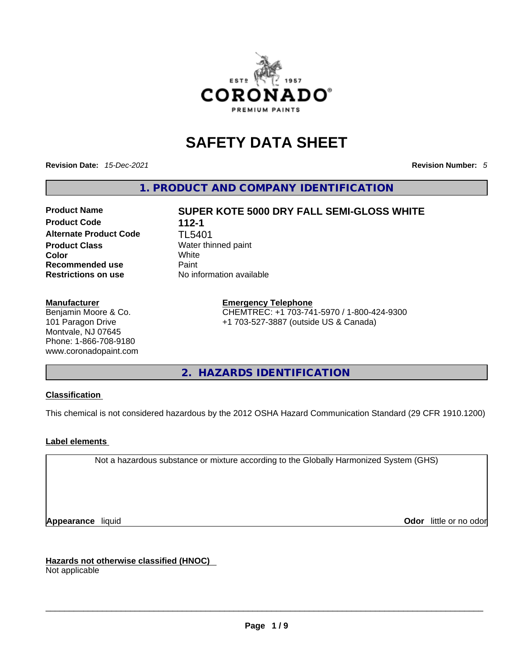

# **SAFETY DATA SHEET**

**Revision Date:** *15-Dec-2021* **Revision Number:** *5*

**1. PRODUCT AND COMPANY IDENTIFICATION** 

# **Product Code 112-1 Alternate Product Code** TL5401 **Product Class Water thinned paint Color** White **Recommended use** Paint<br> **Restrictions on use** No inf

## **Manufacturer**

Benjamin Moore & Co. 101 Paragon Drive Montvale, NJ 07645 Phone: 1-866-708-9180 www.coronadopaint.com

# **Product Name SUPER KOTE 5000 DRY FALL SEMI-GLOSS WHITE**

**No information available** 

## **Emergency Telephone**

CHEMTREC: +1 703-741-5970 / 1-800-424-9300 +1 703-527-3887 (outside US & Canada)

**2. HAZARDS IDENTIFICATION** 

## **Classification**

This chemical is not considered hazardous by the 2012 OSHA Hazard Communication Standard (29 CFR 1910.1200)

## **Label elements**

Not a hazardous substance or mixture according to the Globally Harmonized System (GHS)

**Appearance** liquid **Odor 11** and **Odor 11** and **Odor 11** and **Odor 11** and **Odor 11** and **Odor** 11 and **Odor** 11 and **Odor** 11 and **Odor** 11 and **Odor** 11 and **Odor** 11 and **Odor** 11 and **Odor** 11 and **Odor** 11 and **Odor** 

**Hazards not otherwise classified (HNOC)**  Not applicable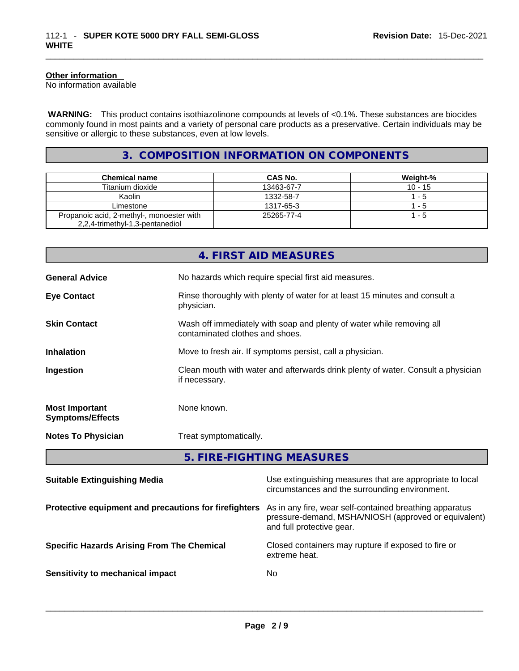## **Other information**

No information available

 **WARNING:** This product contains isothiazolinone compounds at levels of <0.1%. These substances are biocides commonly found in most paints and a variety of personal care products as a preservative. Certain individuals may be sensitive or allergic to these substances, even at low levels.

## **3. COMPOSITION INFORMATION ON COMPONENTS**

| <b>Chemical name</b>                                                         | CAS No.    | Weight-%  |
|------------------------------------------------------------------------------|------------|-----------|
| Titanium dioxide                                                             | 13463-67-7 | $10 - 15$ |
| Kaolin                                                                       | 1332-58-7  | 1 - 5     |
| Limestone                                                                    | 1317-65-3  | 1 - 5     |
| Propanoic acid, 2-methyl-, monoester with<br>2,2,4-trimethyl-1,3-pentanediol | 25265-77-4 | $1 - 5$   |

|                                                  | 4. FIRST AID MEASURES                                                                                    |
|--------------------------------------------------|----------------------------------------------------------------------------------------------------------|
| <b>General Advice</b>                            | No hazards which require special first aid measures.                                                     |
| <b>Eye Contact</b>                               | Rinse thoroughly with plenty of water for at least 15 minutes and consult a<br>physician.                |
| <b>Skin Contact</b>                              | Wash off immediately with soap and plenty of water while removing all<br>contaminated clothes and shoes. |
| <b>Inhalation</b>                                | Move to fresh air. If symptoms persist, call a physician.                                                |
| Ingestion                                        | Clean mouth with water and afterwards drink plenty of water. Consult a physician<br>if necessary.        |
| <b>Most Important</b><br><b>Symptoms/Effects</b> | None known.                                                                                              |
| <b>Notes To Physician</b>                        | Treat symptomatically.                                                                                   |
|                                                  | 5. FIRE-FIGHTING MEASURES                                                                                |

| <b>Suitable Extinguishing Media</b>                   | Use extinguishing measures that are appropriate to local<br>circumstances and the surrounding environment.                                   |
|-------------------------------------------------------|----------------------------------------------------------------------------------------------------------------------------------------------|
| Protective equipment and precautions for firefighters | As in any fire, wear self-contained breathing apparatus<br>pressure-demand, MSHA/NIOSH (approved or equivalent)<br>and full protective gear. |
| <b>Specific Hazards Arising From The Chemical</b>     | Closed containers may rupture if exposed to fire or<br>extreme heat.                                                                         |
| Sensitivity to mechanical impact                      | No.                                                                                                                                          |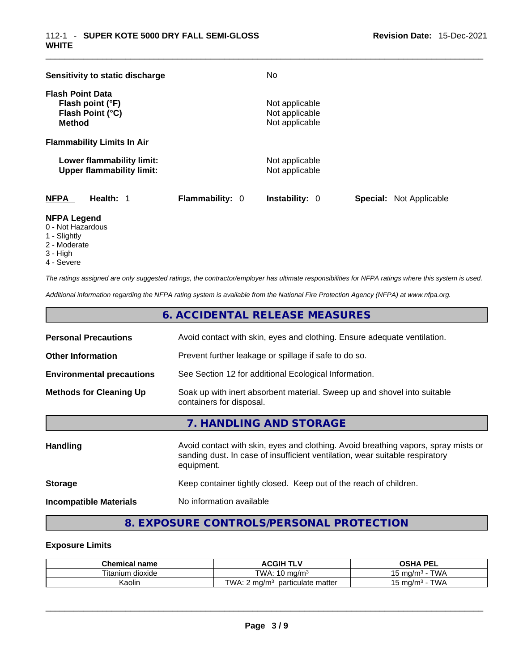| Sensitivity to static discharge                                                  |                        | No.                                                |                                |
|----------------------------------------------------------------------------------|------------------------|----------------------------------------------------|--------------------------------|
| <b>Flash Point Data</b><br>Flash point (°F)<br>Flash Point (°C)<br><b>Method</b> |                        | Not applicable<br>Not applicable<br>Not applicable |                                |
| <b>Flammability Limits In Air</b>                                                |                        |                                                    |                                |
| Lower flammability limit:<br><b>Upper flammability limit:</b>                    |                        | Not applicable<br>Not applicable                   |                                |
| <b>NFPA</b><br>Health: 1                                                         | <b>Flammability: 0</b> | <b>Instability: 0</b>                              | <b>Special:</b> Not Applicable |

#### **NFPA Legend**

- 0 Not Hazardous
- 1 Slightly
- 2 Moderate
- 3 High
- 4 Severe

*The ratings assigned are only suggested ratings, the contractor/employer has ultimate responsibilities for NFPA ratings where this system is used.* 

*Additional information regarding the NFPA rating system is available from the National Fire Protection Agency (NFPA) at www.nfpa.org.* 

# **6. ACCIDENTAL RELEASE MEASURES**

| <b>Personal Precautions</b>                                                                                                            | Avoid contact with skin, eyes and clothing. Ensure adequate ventilation.                                                                                                         |  |  |
|----------------------------------------------------------------------------------------------------------------------------------------|----------------------------------------------------------------------------------------------------------------------------------------------------------------------------------|--|--|
| <b>Other Information</b>                                                                                                               | Prevent further leakage or spillage if safe to do so.                                                                                                                            |  |  |
| <b>Environmental precautions</b>                                                                                                       | See Section 12 for additional Ecological Information.                                                                                                                            |  |  |
| Soak up with inert absorbent material. Sweep up and shovel into suitable<br><b>Methods for Cleaning Up</b><br>containers for disposal. |                                                                                                                                                                                  |  |  |
|                                                                                                                                        | 7. HANDLING AND STORAGE                                                                                                                                                          |  |  |
| <b>Handling</b>                                                                                                                        | Avoid contact with skin, eyes and clothing. Avoid breathing vapors, spray mists or<br>sanding dust. In case of insufficient ventilation, wear suitable respiratory<br>equipment. |  |  |
| <b>Storage</b>                                                                                                                         | Keep container tightly closed. Keep out of the reach of children.                                                                                                                |  |  |
|                                                                                                                                        | .                                                                                                                                                                                |  |  |

**Incompatible Materials** No information available

## **8. EXPOSURE CONTROLS/PERSONAL PROTECTION**

#### **Exposure Limits**

| <b>Chemical</b><br>name  | <b>ACGIH TLV</b>                   | <b>DEI</b><br><b>OSHA</b><br>--            |
|--------------------------|------------------------------------|--------------------------------------------|
| $-1$<br>Fitanium dioxide | TWA.<br>ma/m∘<br>- 1 U             | T111<br>. ma/m <sup>3</sup><br>VV <i>F</i> |
| Kaolin                   | TWA.<br>particulate matter<br>ma/m | <b>TWA</b><br>. ma/m <sup>3</sup><br>՝     |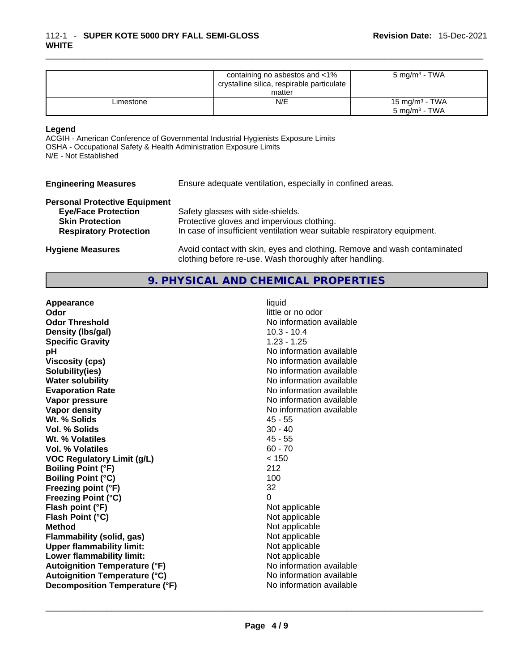|           | containing no asbestos and <1%<br>crystalline silica, respirable particulate<br>matter | 5 mg/m <sup>3</sup> - TWA                     |
|-----------|----------------------------------------------------------------------------------------|-----------------------------------------------|
| ∟imestone | N/E                                                                                    | 15 mg/m $3$ - TWA<br>$5 \text{ ma/m}^3$ - TWA |

#### **Legend**

ACGIH - American Conference of Governmental Industrial Hygienists Exposure Limits OSHA - Occupational Safety & Health Administration Exposure Limits N/E - Not Established

|  | <b>Engineering Measures</b> |
|--|-----------------------------|
|  |                             |

Ensure adequate ventilation, especially in confined areas.

# **Personal Protective Equipment**

| <b>Eye/Face Protection</b>    | Safety glasses with side-shields.                                                                                                   |
|-------------------------------|-------------------------------------------------------------------------------------------------------------------------------------|
| <b>Skin Protection</b>        | Protective gloves and impervious clothing.                                                                                          |
| <b>Respiratory Protection</b> | In case of insufficient ventilation wear suitable respiratory equipment.                                                            |
| <b>Hygiene Measures</b>       | Avoid contact with skin, eyes and clothing. Remove and wash contaminated<br>clothing before re-use. Wash thoroughly after handling. |

## **9. PHYSICAL AND CHEMICAL PROPERTIES**

| Appearance                           | liquid                   |
|--------------------------------------|--------------------------|
| Odor                                 | little or no odor        |
| <b>Odor Threshold</b>                | No information available |
| Density (Ibs/gal)                    | $10.3 - 10.4$            |
| <b>Specific Gravity</b>              | $1.23 - 1.25$            |
| pH                                   | No information available |
| <b>Viscosity (cps)</b>               | No information available |
| Solubility(ies)                      | No information available |
| <b>Water solubility</b>              | No information available |
| <b>Evaporation Rate</b>              | No information available |
| Vapor pressure                       | No information available |
| Vapor density                        | No information available |
| Wt. % Solids                         | $45 - 55$                |
| Vol. % Solids                        | $30 - 40$                |
| Wt. % Volatiles                      | $45 - 55$                |
| <b>Vol. % Volatiles</b>              | $60 - 70$                |
| <b>VOC Regulatory Limit (g/L)</b>    | < 150                    |
| <b>Boiling Point (°F)</b>            | 212                      |
| <b>Boiling Point (°C)</b>            | 100                      |
| Freezing point (°F)                  | 32                       |
| <b>Freezing Point (°C)</b>           | 0                        |
| Flash point (°F)                     | Not applicable           |
| Flash Point (°C)                     | Not applicable           |
| <b>Method</b>                        | Not applicable           |
| <b>Flammability (solid, gas)</b>     | Not applicable           |
| <b>Upper flammability limit:</b>     | Not applicable           |
| Lower flammability limit:            | Not applicable           |
| <b>Autoignition Temperature (°F)</b> | No information available |
| <b>Autoignition Temperature (°C)</b> | No information available |
| Decomposition Temperature (°F)       | No information available |
|                                      |                          |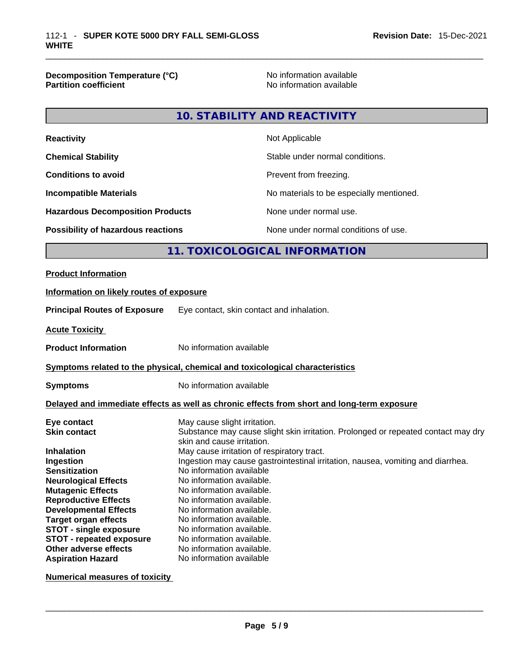**Decomposition Temperature (°C)** No information available **Partition coefficient** 

## **10. STABILITY AND REACTIVITY**

| <b>Reactivity</b>                       | Not Applicable                           |
|-----------------------------------------|------------------------------------------|
| <b>Chemical Stability</b>               | Stable under normal conditions.          |
| <b>Conditions to avoid</b>              | Prevent from freezing.                   |
| <b>Incompatible Materials</b>           | No materials to be especially mentioned. |
| <b>Hazardous Decomposition Products</b> | None under normal use.                   |
| Possibility of hazardous reactions      | None under normal conditions of use.     |

## **11. TOXICOLOGICAL INFORMATION**

#### **Product Information**

# **Information on likely routes of exposure Principal Routes of Exposure** Eye contact, skin contact and inhalation. **Acute Toxicity Product Information** No information available **<u>Symptoms related to the physical, chemical and toxicological characteristics</u> Symptoms** No information available **Delayed and immediate effects as well as chronic effects from short and long-term exposure Eye contact** May cause slight irritation. **Skin contact** Substance may cause slight skin irritation. Prolonged or repeated contact may dry skin and cause irritation. **Inhalation May cause irritation of respiratory tract. Ingestion Ingestion may cause gastrointestinal irritation**, nausea, vomiting and diarrhea.<br>**Sensitization Internation** available **Sensitization** No information available **Neurological Effects** No information available. **Mutagenic Effects** No information available. **Reproductive Effects** No information available. **Developmental Effects** No information available. **Target organ effects** No information available. **STOT** - **single exposure** No information available. **STOT** - **repeated exposure** No information available.

**Numerical measures of toxicity**

**Other adverse effects No information available.**<br> **Aspiration Hazard No information available** 

 $\_$  ,  $\_$  ,  $\_$  ,  $\_$  ,  $\_$  ,  $\_$  ,  $\_$  ,  $\_$  ,  $\_$  ,  $\_$  ,  $\_$  ,  $\_$  ,  $\_$  ,  $\_$  ,  $\_$  ,  $\_$  ,  $\_$  ,  $\_$  ,  $\_$  ,  $\_$  ,  $\_$  ,  $\_$  ,  $\_$  ,  $\_$  ,  $\_$  ,  $\_$  ,  $\_$  ,  $\_$  ,  $\_$  ,  $\_$  ,  $\_$  ,  $\_$  ,  $\_$  ,  $\_$  ,  $\_$  ,  $\_$  ,  $\_$  ,

**No information available**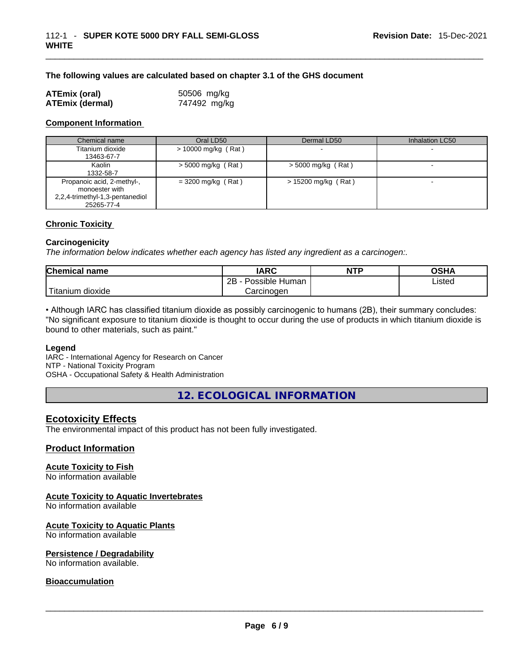#### **The following values are calculated based on chapter 3.1 of the GHS document**

| <b>ATEmix (oral)</b>   | 50506 mg/kg  |
|------------------------|--------------|
| <b>ATEmix (dermal)</b> | 747492 mg/kg |

#### **Component Information**

| Chemical name                                                                                 | Oral LD50             | Dermal LD50           | Inhalation LC50          |
|-----------------------------------------------------------------------------------------------|-----------------------|-----------------------|--------------------------|
| Titanium dioxide<br>13463-67-7                                                                | $> 10000$ mg/kg (Rat) |                       |                          |
| Kaolin<br>1332-58-7                                                                           | $>$ 5000 mg/kg (Rat)  | $>$ 5000 mg/kg (Rat)  | $\overline{\phantom{0}}$ |
| Propanoic acid, 2-methyl-,<br>monoester with<br>2,2,4-trimethyl-1,3-pentanediol<br>25265-77-4 | $=$ 3200 mg/kg (Rat)  | $> 15200$ mg/kg (Rat) | $\overline{\phantom{0}}$ |

## **Chronic Toxicity**

#### **Carcinogenicity**

*The information below indicates whether each agency has listed any ingredient as a carcinogen:.* 

| <b>Chemical name</b> | IARC                 | <b>NTP</b> | OSHA   |
|----------------------|----------------------|------------|--------|
|                      | 2B<br>Possible Human |            | Listed |
| Titanium<br>dioxide  | Carcinoɑen           |            |        |

• Although IARC has classified titanium dioxide as possibly carcinogenic to humans (2B), their summary concludes: "No significant exposure to titanium dioxide is thought to occur during the use of products in which titanium dioxide is bound to other materials, such as paint."

#### **Legend**

IARC - International Agency for Research on Cancer NTP - National Toxicity Program OSHA - Occupational Safety & Health Administration

**12. ECOLOGICAL INFORMATION** 

## **Ecotoxicity Effects**

The environmental impact of this product has not been fully investigated.

#### **Product Information**

#### **Acute Toxicity to Fish**

No information available

#### **Acute Toxicity to Aquatic Invertebrates**

No information available

#### **Acute Toxicity to Aquatic Plants**

No information available

#### **Persistence / Degradability**

No information available. \_\_\_\_\_\_\_\_\_\_\_\_\_\_\_\_\_\_\_\_\_\_\_\_\_\_\_\_\_\_\_\_\_\_\_\_\_\_\_\_\_\_\_\_\_\_\_\_\_\_\_\_\_\_\_\_\_\_\_\_\_\_\_\_\_\_\_\_\_\_\_\_\_\_\_\_\_\_\_\_\_\_\_\_\_\_\_\_\_\_\_\_\_

#### **Bioaccumulation**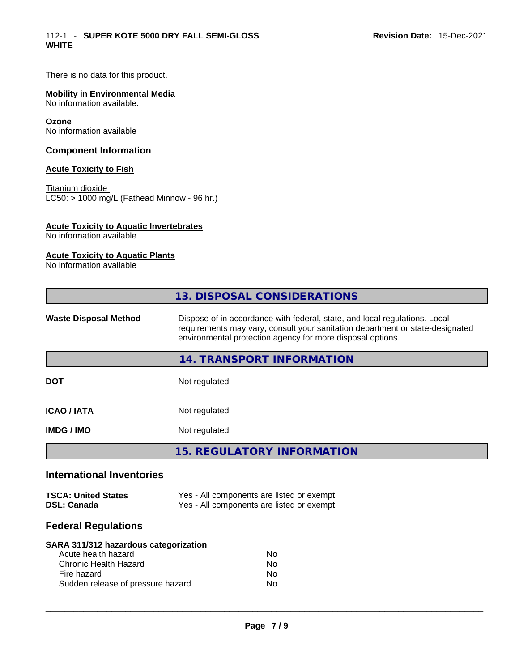There is no data for this product.

## **Mobility in Environmental Media**

No information available.

## **Ozone**

No information available

## **Component Information**

#### **Acute Toxicity to Fish**

Titanium dioxide  $LC50: > 1000$  mg/L (Fathead Minnow - 96 hr.)

### **Acute Toxicity to Aquatic Invertebrates**

No information available

## **Acute Toxicity to Aquatic Plants**

No information available

|                                                                                                                                                  | <b>13. DISPOSAL CONSIDERATIONS</b>                                                                                                                                                                                        |  |  |
|--------------------------------------------------------------------------------------------------------------------------------------------------|---------------------------------------------------------------------------------------------------------------------------------------------------------------------------------------------------------------------------|--|--|
| <b>Waste Disposal Method</b>                                                                                                                     | Dispose of in accordance with federal, state, and local regulations. Local<br>requirements may vary, consult your sanitation department or state-designated<br>environmental protection agency for more disposal options. |  |  |
|                                                                                                                                                  | 14. TRANSPORT INFORMATION                                                                                                                                                                                                 |  |  |
| <b>DOT</b>                                                                                                                                       | Not regulated                                                                                                                                                                                                             |  |  |
| <b>ICAO/IATA</b>                                                                                                                                 | Not regulated                                                                                                                                                                                                             |  |  |
| <b>IMDG / IMO</b>                                                                                                                                | Not regulated                                                                                                                                                                                                             |  |  |
|                                                                                                                                                  | <b>15. REGULATORY INFORMATION</b>                                                                                                                                                                                         |  |  |
| <b>International Inventories</b>                                                                                                                 |                                                                                                                                                                                                                           |  |  |
| <b>TSCA: United States</b><br><b>DSL: Canada</b>                                                                                                 | Yes - All components are listed or exempt.<br>Yes - All components are listed or exempt.                                                                                                                                  |  |  |
| <b>Federal Regulations</b>                                                                                                                       |                                                                                                                                                                                                                           |  |  |
| SARA 311/312 hazardous categorization<br>Acute health hazard<br><b>Chronic Health Hazard</b><br>Fire hazard<br>Sudden release of pressure hazard | No<br>No<br>No<br>No                                                                                                                                                                                                      |  |  |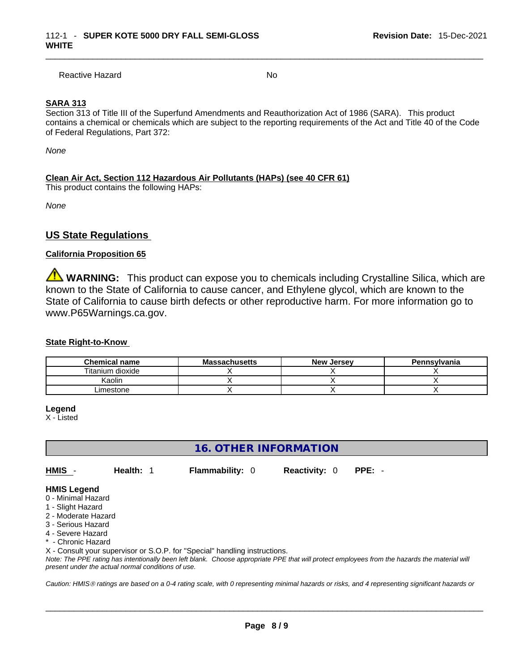Reactive Hazard No. No. 2014

## **SARA 313**

Section 313 of Title III of the Superfund Amendments and Reauthorization Act of 1986 (SARA). This product contains a chemical or chemicals which are subject to the reporting requirements of the Act and Title 40 of the Code of Federal Regulations, Part 372:

*None*

#### **Clean Air Act,Section 112 Hazardous Air Pollutants (HAPs) (see 40 CFR 61)**

This product contains the following HAPs:

*None*

## **US State Regulations**

### **California Proposition 65**

**WARNING:** This product can expose you to chemicals including Crystalline Silica, which are known to the State of California to cause cancer, and Ethylene glycol, which are known to the State of California to cause birth defects or other reproductive harm. For more information go to www.P65Warnings.ca.gov.

#### **State Right-to-Know**

| <b>Chemical name</b> | <b>Massachusetts</b> | <b>New Jersey</b> | <b>Pennsylvania</b> |
|----------------------|----------------------|-------------------|---------------------|
| Titanium dioxide     |                      |                   |                     |
| Kaolin               |                      |                   |                     |
| ∟imestone            |                      |                   |                     |

**Legend**

X - Listed

## **16. OTHER INFORMATION**

**HMIS** - **Health:** 1 **Flammability:** 0 **Reactivity:** 0 **PPE:** -

#### **HMIS Legend**

- 0 Minimal Hazard
- 1 Slight Hazard
- 2 Moderate Hazard
- 3 Serious Hazard
- 4 Severe Hazard
- Chronic Hazard

X - Consult your supervisor or S.O.P. for "Special" handling instructions.

Note: The PPE rating has intentionally been left blank. Choose appropriate PPE that will protect employees from the hazards the material will *present under the actual normal conditions of use.* 

*Caution: HMISÒ ratings are based on a 0-4 rating scale, with 0 representing minimal hazards or risks, and 4 representing significant hazards or*